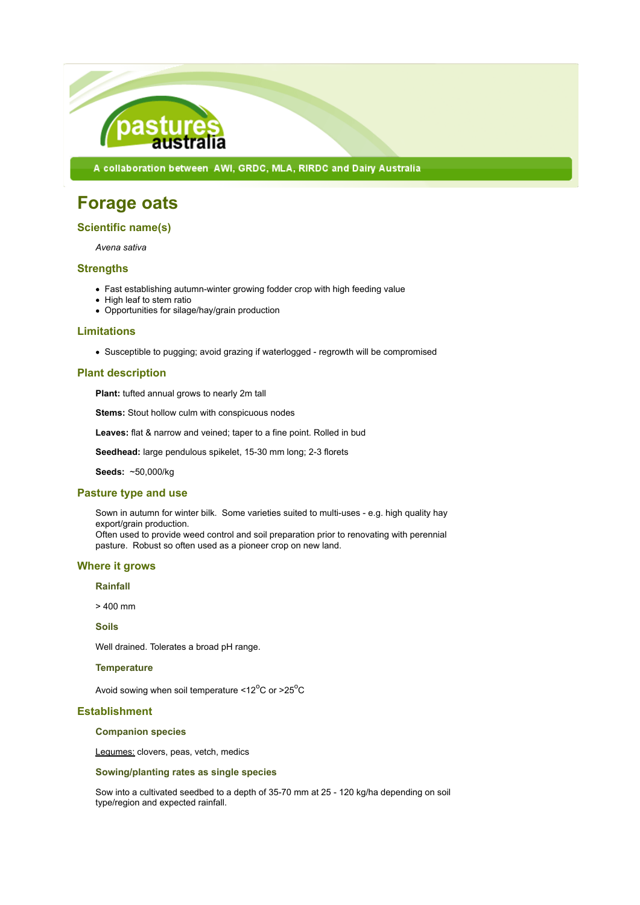

A collaboration between AWI, GRDC, MLA, RIRDC and Dairy Australia

# **Forage oats**

# **Scientific name(s)**

*Avena sativa*

# **Strengths**

- Fast establishing autumn-winter growing fodder crop with high feeding value
- High leaf to stem ratio
- Opportunities for silage/hay/grain production

# **Limitations**

Susceptible to pugging; avoid grazing if waterlogged - regrowth will be compromised

# **Plant description**

**Plant:** tufted annual grows to nearly 2m tall

**Stems:** Stout hollow culm with conspicuous nodes

**Leaves:** flat & narrow and veined; taper to a fine point. Rolled in bud

**Seedhead:** large pendulous spikelet, 15-30 mm long; 2-3 florets

**Seeds:** ~50,000/kg

# **Pasture type and use**

Sown in autumn for winter bilk. Some varieties suited to multi-uses - e.g. high quality hay export/grain production. Often used to provide weed control and soil preparation prior to renovating with perennial pasture. Robust so often used as a pioneer crop on new land.

# **Where it grows**

#### **Rainfall**

> 400 mm

**Soils**

Well drained. Tolerates a broad pH range.

# **Temperature**

Avoid sowing when soil temperature <12 $\rm ^{o}C$  or >25 $\rm ^{o}C$ 

# **Establishment**

#### **Companion species**

Legumes: clovers, peas, vetch, medics

#### **Sowing/planting rates as single species**

Sow into a cultivated seedbed to a depth of 35-70 mm at 25 - 120 kg/ha depending on soil type/region and expected rainfall.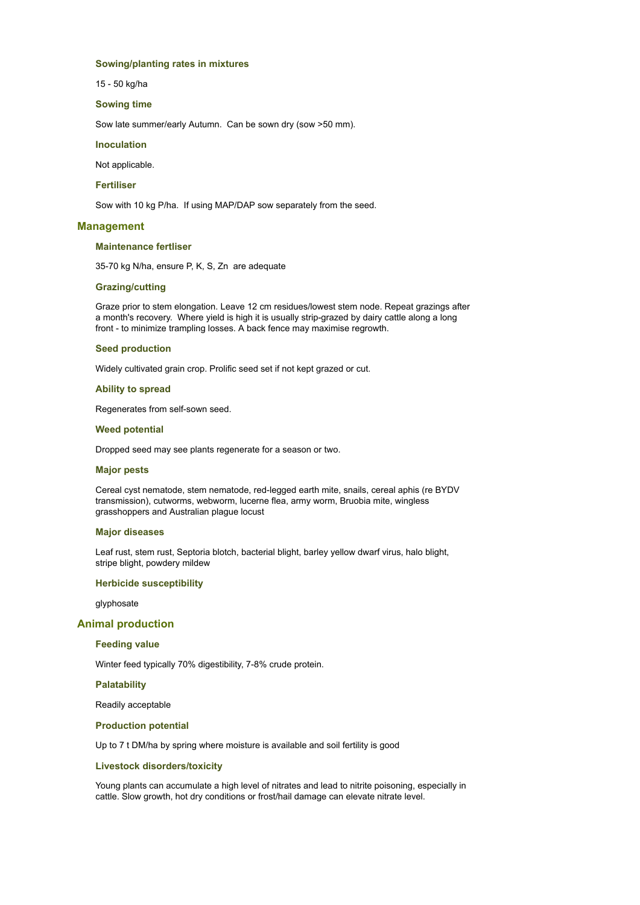# **Sowing/planting rates in mixtures**

15 - 50 kg/ha

#### **Sowing time**

Sow late summer/early Autumn. Can be sown dry (sow >50 mm).

#### **Inoculation**

Not applicable.

# **Fertiliser**

Sow with 10 kg P/ha. If using MAP/DAP sow separately from the seed.

#### **Management**

#### **Maintenance fertliser**

35-70 kg N/ha, ensure P, K, S, Zn are adequate

#### **Grazing/cutting**

Graze prior to stem elongation. Leave 12 cm residues/lowest stem node. Repeat grazings after a month's recovery. Where yield is high it is usually strip-grazed by dairy cattle along a long front - to minimize trampling losses. A back fence may maximise regrowth.

#### **Seed production**

Widely cultivated grain crop. Prolific seed set if not kept grazed or cut.

#### **Ability to spread**

Regenerates from self-sown seed.

### **Weed potential**

Dropped seed may see plants regenerate for a season or two.

#### **Major pests**

Cereal cyst nematode, stem nematode, red-legged earth mite, snails, cereal aphis (re BYDV transmission), cutworms, webworm, lucerne flea, army worm, Bruobia mite, wingless grasshoppers and Australian plague locust

#### **Major diseases**

Leaf rust, stem rust, Septoria blotch, bacterial blight, barley yellow dwarf virus, halo blight, stripe blight, powdery mildew

#### **Herbicide susceptibility**

glyphosate

# **Animal production**

#### **Feeding value**

Winter feed typically 70% digestibility, 7-8% crude protein.

#### **Palatability**

Readily acceptable

#### **Production potential**

Up to 7 t DM/ha by spring where moisture is available and soil fertility is good

#### **Livestock disorders/toxicity**

Young plants can accumulate a high level of nitrates and lead to nitrite poisoning, especially in cattle. Slow growth, hot dry conditions or frost/hail damage can elevate nitrate level.